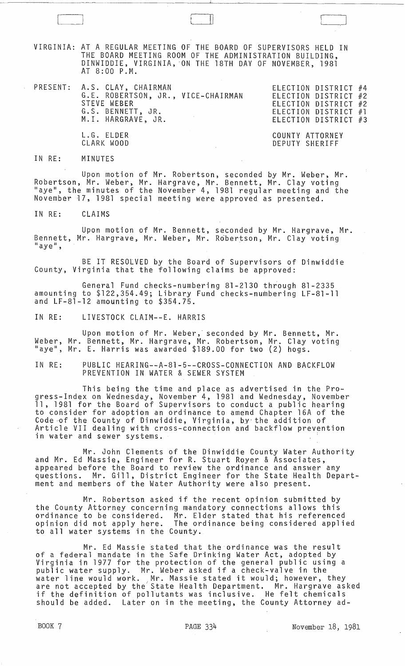VIRGINIA: AT A REGULAR MEETING OF THE &OARD OF SUPERVISORS HELD IN THE BOARD MEETING ROOM OF THE ADMINISTRATION BUILDING, DINWIDDIE, VIRGINIA, 'ON THE 18TH DAY OF NOVEMBER, 1981 AT 8:00 P.M.

 $\Box$ 

| PRESENT: A.S. CLAY, CHAIRMAN<br>G.E. ROBERTSON, JR., VICE-CHAIRMAN<br>STEVE WEBER<br>G.S. BENNETT, JR.<br>M.I. HARGRAVE, JR. | ELECTION DISTRICT #4<br>ELECTION DISTRICT #2<br>ELECTION DISTRICT #2<br>ELECTION DISTRICT #1<br>ELECTION DISTRICT #3 |
|------------------------------------------------------------------------------------------------------------------------------|----------------------------------------------------------------------------------------------------------------------|
| L.G. ELDER<br>CLARK WOOD                                                                                                     | COUNTY ATTORNEY<br>DEPUTY SHERIFF                                                                                    |

IN RE: MINUTES

Upon motion of Mr. Robertson, seconded by Mr. Weber, Mr. Robertson, Mr. Weber, Mr. Hargrave, Mr. Bennett, Mr. Clay voting "aye", the minutes of the November 4, 1981 regular meeting and the November 17, 1981 special meeting were approved as presented.

IN RE: CLAIMS

Upon motion of Mr. Bennett, seconded by Mr. Hargrave, Mr. Bennett, Mr. Hargrave, Mr. Weber, Mr. Robertson, Mr. Clay voting<br>"aye",

BE IT RESOLVED by the Board of Supervisors of Dinwiddie County, Virginia that the following claims be approved:

General Fund checks-numbering 81-2130 through 81-2335 amounting to \$122,354.49; Library Fund checks-numbering LF-8l-1l and LF-8l-l2 amounting to \$354.75.

IN RE: LIVESTOCK CLAIM--E. HARRIS

Upon motion of Mr. Weber, seconded by Mr. Bennett, Mr. Weber, Mr. Bennett, Mr. Hargrave, Mr. Robertson, Mr. Clay voting "aye", Mr. E. Harris was awarded \$189.00 for two (2) hogs.

IN RE: PUBLIC HEARING--A-8l-5--CROSS-CONNECTION AND BACKFLOW PREVENTION IN WATER & SEWER SYSTEM

This being the time and place as advertised in the Progress-Index on Wednesday, November 4, 1981 and Wednesday, November 11, 1981 for the Board of Supervisors to conduct a public hearing to consider for adoption an ordinance to amend Chapter 16A of the Code of the County of Dinwiddie, Virginia, by-the addition of Article VII dealing with cross-connection and backflow prevention in water and sewer systems. :

Mr. John Clements of the Dinwiddie County Water Authority and Mr. Ed Massie, Engineer for R. Stuart Royer & Associates, appeared before the Board to review the ordinance and answer any questions. Mr. Gill, District Engineer for the State Health Department and members of the Water Authority were also present.

Mr. Robertson asked if the recent opinion submitted by the County Attorney concerning mandatory connections allows this ordinance to be considered. Mr. Elder stated that his referenced opinion did not apply here. The ordinance being considered applied to all water systems in the County.

Mr. Ed Massie stated that the ordinance was the result of a federal mandate in the Safe Drinking Water Act, adopted by<br>Virginia in 1977 for the protection of the general public using a public water supply. Mr. Weber asked if a check-valve in the public water supply. Mr. weber asked it a check-valve in the property of the supply. Mr. Massie stated it would; however, they are not accepted by the State Health Department. Mr. Hargrave asked if the definition of pollutants was inclusive. He felt chemicals should be added. Later on in the meeting, the County Attorney ad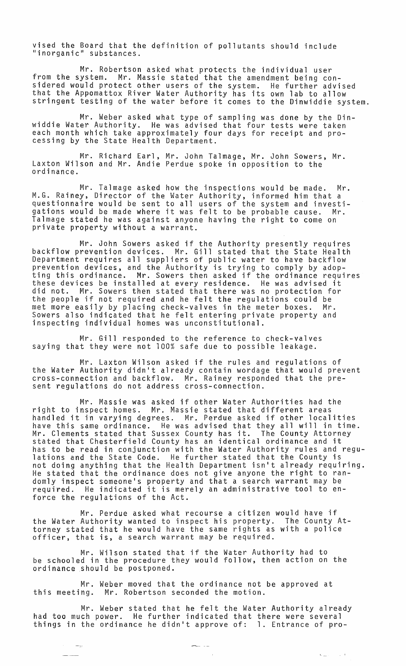vised the Board that the definition of pollutants should include "inorganic" substances.

Mr. Robertson asked what protects the individual user from the system. Mr. Massie stated that the amendment being considered would protect other users of the system. He further advised that the Appomattox River Water Authority has its own lab to allow stringent testing of the water before it comes to the Dinwiddie system.

Mr. Weber asked what type of sampling was done by the Dinwiddie Water Authority. He was advised that four tests were taken each month which take approximately four days for receipt and pro-<br>cessing by the State Health Department.

Mr. Richard Earl, Mr. John Talmage, Mr. John Sowers, Mr. Laxton Wilson and Mr. Andie Perdue spoke in opposition to the ordinance.

Mr. Talmage asked how the inspections would be made. Mr. M.G. Rainey, Director of the Water Authority, informed him that a questionnaire would be sent to all users of the system and investigations would be made where it was felt to be probable cause. Mr. Talmage stated he was against anyone having the right to come on private property without a warrant.

Mr. John Sowers asked if the Authority presently requires backflow prevention devices. Mr. Gill stated that the State Health Department requires all suppliers of public water to have backflow prevention devices, and the Authority is trying to comply by adopting this ordinance. Mr. Sowers then asked if the ordinance requires these devices be installed at every residence. He was advised it did not. Mr. Sowers then stated that there was no protection for the people if not required and he felt the regulations could be met more easily by placing check-valves in the meter boxes. Mr. Sowers also indicated that he felt entering private property and inspecting individual homes was unconstitutional.

Mr. Gill responded to the reference to check-valves saying that they were not 100% safe due to possible leakage.

Mr. Laxton Wilson asked if the rules and regulations of the Water Authority didn't already contain wordage that would prevent cross-connection and backf1ow. Mr. Rainey responded that the present regulations do not address cross-connection.

Mr. Massie was asked if other Water Authorities had the right to inspect homes. Mr. Massie stated that different areas handled it in varying degrees. Mr. Perdue asked if other localities have this same ordinance. He was advised that they all will in time. Mr. Clements stated that Sussex County has it. The County Attorney stated that Chesterfield County has an identical ordinance and it has to be read in conjunction with the Water Authority rules and regulations and the State Code. He further stated that the County is not doing anything that the Health Department isn't already requiring. He stated that the ordinance does not give anyone the right to randomly inspect someone1s property and that a search warrant may be required. He indicated it is merely an administrative tool to enforce the regulations of the Act.

Mr. Perdue asked what recourse a citizen would have if the Water Authority wanted to inspect his property. The County Attorney stated that he would have the same rights as with a police officer, that is, a search warrant may be required.

Mr. Wilson stated that if the Water Authority had to be schooled in the procedure they would follow, then action on the ordinance should be postponed.

Mr. Weber moved that the ordinance not be approved at this meeting. Mr. Robertson seconded the motion.

 $\rightarrow$   $\rightarrow$ 

Mr. Weber stated that he felt the Water Authority already had too much power. He further indicated that there were several things in the ordinance he didn1t approve of: 1. Entrance of pro-

 $\sim$   $\sim$ 

 $\mathbf{C}(\underline{\mathbf{L}})$  ,  $\mathbf{C}(\underline{\mathbf{L}})$  ,  $\mathbf{C}(\underline{\mathbf{L}})$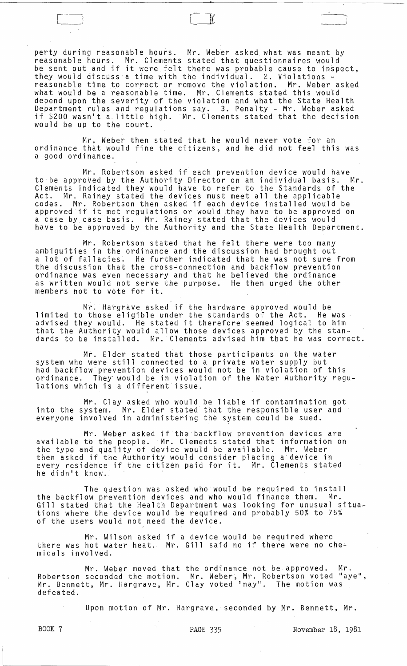perty during reasonable hours. Mr. Weber asked what was meant by reasonable hours. Mr. Clements stated that questionnaires would be sent out and if it were felt there was probable cause to inspect, they would discuss a time with the individual. 2. Violations - reasonable time to correct or remove the violation. Mr. Weber asked what would be a reasonable time. Mr. Clements stated this would depend upon the severity of the violation and what the State Health Department rules and regulations say. 3. Penalty - Mr. Weber asked if \$200 wasn1t a. little high. Mr. Clements stated that the decision would be up to the court.

 $\Box$ 

Mr. Weber then stated that he would never vote for an ordinance that would fine the citizens, and he did not feel this was a good ordinance.

Mr. Robertson asked if each prevention device would have<br>oved by the Authority Director on an individual basis. Mr. to be approved by the Authority Director on an individual basis. Clements indicated they would have to refer to the Standards of the Act. Mr. Rainey stated the devices must meet all the applicable codes. Mr. Robertson then asked if each device installed would be codes. In: Robertson then asked it each device installed would be a case by case basis. Mr. Rainey stated that the devices would have to be approved by the Authority and the State Health Department.

Mr. Robertson stated that he felt there were too many ambiguities in the ordinance and the discussion had brought out a lot of fallacies. He further indicated that he was not sure from the discussion that the tross-connection and backflow prevention ordinance was even necessary and that he believed the ordinance as written would not setve the purpose. He then urged the other members not to vote for it.

Mr. Hargrave asked if the hardware approved would be limited to those eligible under the standards of the Act. He was advised they would. He stated it therefore seemed logical to him that the Authority would allow those devices approved by the standards to be installed. Mr. Clements advised him that he was correct.

Mr. Elder stated that those participants on the water system who were still connected to a private water supply but had backflow prevention devices would not be in violation of this ordinance. They· would be in violation of the Water Authority regulations which is a different issue.

Mr. Clay asked who would be liable if contamination got into the system. Mr. Elder stated that the responsible user and everyone involved in administering the system could be sued.

Mr. Weber asked if the·backflow prevention devices are available to the people. Mr. Clements stated that information on the type and quality of device would be available. Mr. Weber then asked if the Authority would consider placing a device in every residence if the citizen paid for it. Mr. Clements stated he didn't know.

The question was asked who would be required to install the backflow prevention devices and who would finance them. Mr. Gill stated that the Health Department was looking for unusual situa~ tions where the device would be required and probably 50% to 75% of the users would not need the device.

Mr. Wilson asked if a device would be required where there was hot water heat. Mr. Gill said no if there were no che~ micals involved.

Mr. Weber moved that Robertson seconded the motion. rot for the moved that the ordinance hot be approved. The experience is the conded the motion. Mr. Weber, Mr. Robertson voted "aye",<br>Mr. Bennett, Mr. Hargrave, Mr. Clay voted "nay". The motion was defeated. the ordinance not be approved. Mr.

Upon motion of Mr. Hargrave, seconded by Mr. Bennett, Mr.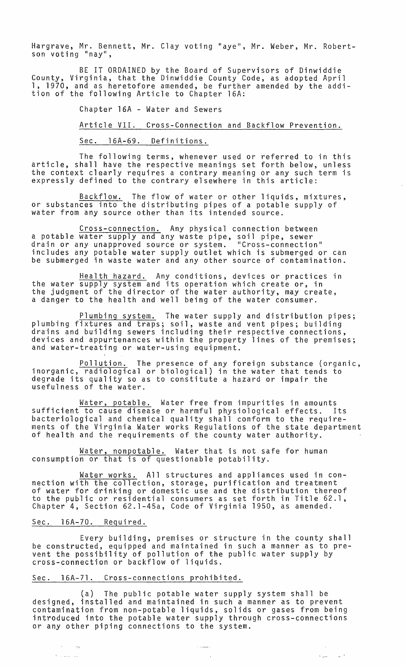Hargrave, Mr. Bennett, Mr. Clay voting "aye", Mr. Weber, Mr. Robertson voting "nay",

BE IT ORDAINED by the Board of Supervisors of Dinwiddie County, Virginia, that the Dinwiddie County Code, as adopted April 1, 1970, and as heretofore amended, be further amended by the addition of the following Article to Chapter 16A:

Chapter 16A - Water and Sewers

Article VII. Cross-Connection and Backflow Prevention.

Sec. 16A-69. Definitions.

The following terms, whenever used or referred to in this article, shall have the respective meanings set forth below, unless the context clearly requires a contrary meaning or any such term is expressly defined to the contrary elsewhere in this article:

Backflow. The flow of water or other liquids, mixtures, or substances into the distributing pipes of a potable supply of water from any source other than its intended source.

Cross-connection. Any physical connection between a potable water supply and any waste pipe, soil pipe, sewer drain or any unapproved source or system. "Cross-connection" includes any potable water supply outlet which is submerged or can be submerged in waste water and any other source of contamination.

Health hazard. Any conditions, devices or practices in the water supply system and its operation which create or, in the judgment of the director of the water authority, may create, a danger to the health and well being of the water consumer.

Plumbing system. The water supply and distribution pipes; plumbing fixtures and traps; soil, waste and vent pipes; building drains and building sewers including their respective connections, devices and appurtenances within the property lines of the premises; and water-treating or water-using equipment.

Pollution. The presence of any foreign substance (organic, inorganic, radiological or biological) in the water that tends to degrade its quality so as to constitute a hazard or impair the usefulness of the water.

Water, potable. Water free from impurities in amounts sufficient to cause disease or harmful physiological effects. Its bacteriological and chemical quality shall conform to the requirements of the Virginia Water works Regulations of the state department of health and the requirements of the county water authority.

Water, nonpotable. Water that is not safe for human consumption or that is of questionable potability.

Water works. All structures and appliances used in connection with the collection, storage, purification and treatment of water for drinking or domestic use and the distribution thereof to the public or residential consumers as set forth in Title 62.1, Chapter 4, Section 62.1-45a, Code of Virginia 1950, as amended.

## Sec. 16A-70. Required.

 $\epsilon$  , in matrix

Every building, premises or structure in the county shall be constructed, equipped and maintained in such a manner as to prevent the possibility of pollution of the public water supply by cross-connection or backflow of liquids.

## Sec. l6A-71. Cross-connections prohibited.

(a) The public potable water supply system shall be designed, installed and maintained in such a manner as to prevent contamination from non-potable liquids, solids or gases from being introduced into the potable water supply through cross-connections or any other piping connections to the system.

 $\sim$  10 mm  $\sim$ 

 $\mathbb{Z}^2$ 

 $\label{eq:2.1} \mathcal{L}_{\text{max}} = \mathcal{L}_{\text{max}} + \mathcal{L}_{\text{max}}$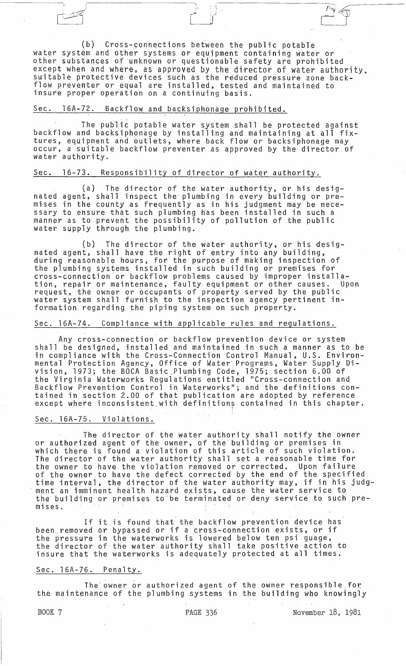(b) Cross-connections between the public potable water system and other systems or equipment containing water or other substances of unknown or questionable safety are prohibited except when and where, as approved by the director of water authority. suitable protective devices such as the reduced pressure zone backflow preventer or equal are installed, tested and maintained to insure proper operation on a continuing basis.

\.

*C* /

# Sec. 16A-72. Backflow and backsiphonage prohibited.

The public potable water system shall be protected against backflow and backsiphonage by installing and maintaining at all fixtures, equipment and outlets, where back flow or backsiphonage may occur, a suitable backflow preventer as approved by the director of water authority.

## Sec. 16-73. Responsibility of director of water authority.

(a) The director of the water authority, or his designated agent, shall inspect the' plumbing 'in every building or premises in the county as frequently as in his judgment may be necessary to ensure that such plumbing has been installed in such a manner as to prevent the possibility of pollution of the public water supply through the plumbing.

(b) The director of the water authority, or his designated agent, shall have the right of entry into any building,  $\check{\phantom{\phi}}$ <br>during reasonable hours, for the purpose of making inspection of the plumbing systems installed in such building or premises for cross-connection or backflow problems caused by improper installation, repair or maintenance, faulty equipment or other causes. Upon request, the owner or occupants of property served by the public water system shall furnish to the inspection agency pertinent information regarding the piping system on such property.

## Sec. l6A-74. Compliance with applicable rules and regulations.

Any cross-connection or backflow prevention device or system shall be designed, installed and maintained in such a manner as to be in compliance with the Cross-Connection Control Manual, U.S. Environmental Protection Agency, Office of Water' Programs, Water Supply Division, 1973; the BOCA Basic.Plumbing Code, 1975; section 6.00 of the Virginia Waterworks Regulations entitled "Cross-connection and Backflow Prevention Control in Waterworks"; and the definitions contained in section 2.00 of that publication are adopted by reference except where inconsistent with definitions contained in this chapter.

## Sec. l6A-75. Violations.

The director of the water authority shall notify the owner or authorized agent of the owner, of the building or premises in which there is found a violation of this article of such violation. The director of the water authority shall set a reasonable time for the owner to have the viOlation removed or corrected. Upon failure of the owner to have the defect corrected by the end of the specified of the owner to have the gerect corrested by the end of the opening and the interval, the director of the water authority may, if in his judgment an imminent health hazard exists, cause the water service to the building or premises to be terminated or deny service to such premises.

If it is found that the backflow prevention device has been. removed or bypassed or if a cross-connection exists, or if the pressure in the waterworks is lowered below ten psi guage, the director of the water authority shall take positive action to insure that the waterworks is adequately protected at all times.

## Sec. 16A-76. Penalty.

The owner or authorized agent of the owner responsible for the maintenance of the plumbing systems in the building who knowingly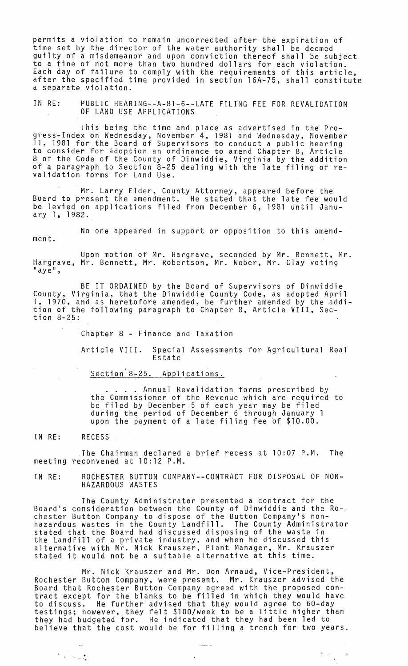permits a violation to remain uncorrected after the expiration of time set by the director of the water authority shall be deemed guilty of a misdemeanor and upon conviction thereof shall be subject to a fine of not more than two hundred dollars for each violation. Each day of failure to comply with the requirements of this article, after the specified time provided in section l6A-75, shall constitute a separate violation.

IN RE: PUBLIC HEARING--A-8l-6--LATE FILING FEE FOR REVALIDATION OF LAND USE APPLICATIONS

This being the time and place as advertised in the Progress-Index on Wednesday, November 4, 1981 and Wednesday, November 11, 1981 for the Board of Supervisors to conduct a public hearing to consider for adoption an ordinance to amend Chapter 8, Article 8 of the Code of the County of Dinwiddie, Virginia by the addition of a paragraph to Section 8-25 dealing with the late filing of revalidation forms for Land Use.

Mr. Larry Elder, County Attorney, appeared before the Board to present the amendment. He stated that the late fee would be levied on applications filed from December 6, 1981 until January 1, 1982.

No one appeared in support or opposition to this amendment.

Upon motion of Mr. Hargrave, seconded by Mr. Bennett, Mr. Hargrave, Mr. Bennett, Mr. Robertson, Mr. Weber, Mr. Clay voting<br>"aye",

BE IT ORDAINED by the Board of Supervisors of Dinwiddie County, Virginia, that the Dinwiddie County Code, as adopted April 1, 1970, and as heretofore amended, be further amended by the addition of the f01lowing paragraph to Chapter 8, Article VIII, Section 8-25:

Chapter 8 - Finance and Taxation

Article VIII. Special Assessments for Agricultural Real Estate

Section<sup>'8-25</sup>. Applications.

Annual Revalidation forms prescribed by the Commissioner of the Revenue which are required to be filed by December 5 of each year may be filed during the period of December 6 through January 1 upon the payment of a late filing fee of \$10.00.

IN RE: RECESS

,.

The Chairman declared a brief recess at 10:07 P.M. The meeting reconvened at 10:12 P.M.

IN RE: ROCHESTER BUTTON COMPANY--CONTRACT FOR DISPOSAL OF NON-HAZARDOUS WASTES

The County Administrator presented a contract for the Board's consideration between the County of Dinwiddie and the Rochester Button Company to dispose of the Button Company's nonhazardous wastes in the County Landfill. The County Administrator stated that the Board had discussed disposing of the waste in the Landfill of a private industry, and when he discussed this alternative with Mr. Nick Krauszer, Plant Manager, Mr. Krauszer aiternative with mr. Nick Krauszer, riant manager, mr. Krau<br>stated it would not be a suitable alternative at this time.

Mr. Nick Krauszer and Mr. Don Arnaud, Vice-President, Rochester Button Company, were present. Mr. Krauszer advised the Board that Rochester Button Company agreed with the proposed contract except for the blanks to be filled in which they would have to discuss. He further advised that they would agree to 60-day testings; however, they felt \$lOO/week to be a little higher than they had budgeted for. He indicated that they had been led to believe that the cost would be for filling a trench for two years.

 $\ddot{\phantom{a}}$ 

 $\mathbf{L} = \mathbf{L} \mathbf{A} \begin{bmatrix} \mathbf{L} & \mathbf{L} \\ \mathbf{L} & \mathbf{L} \end{bmatrix} \mathbf{A}$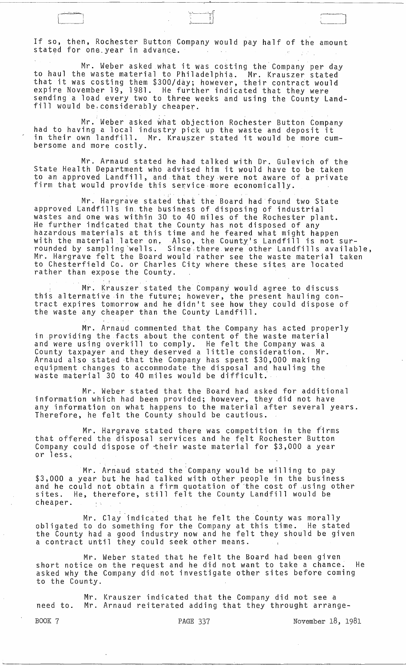If so, then, Rochester Button Company would pay half of the amount stated for one.year in advance.

, ...<br>1 i

Mr. Weber asked what it was costing the"Company per day to haul the waste material to Philadelphia. Mr. Krauszer stated that it was costing them \$300/day; however, their contract would expire November 19, 1981. He further indicated that they were sending a load every two to three weeks and using the County Landfill would be, considerably cheaper.

Mr.· Weber asked what objection Rochester Button Company had to having a local industry pick up the waste and deposit it in their own landfill. Mr. Krauszer stated it would be more cumbersome and more costly. .

. .

Mr. Arnaud stated he had talked with Dr. Gulevich of the State Health Department who advised him it would have to be taken to an approved Landfill, and that they were not aware of a private firm that would provide this service more economically.

. . Mr. Hargrave stated that the Board had found two State approved Landfills in. the business of disposing of industrial wastes and one was within 30 to 40 miles of the Rochester plant. He further indicated that the County has not disposed of any hazardous materials at this time and he feared what might happen with the material later on, Also, the County's Landfill is not surrounded by sampling'wells. Since,therewere other Landfills available, Mr. Hargrave felt the Board would rather see the waste material taken to Chesterfield Co. or Charles City where these sites are located rather than expose the County.

Mr. Krauszer stated the Company would agree to discuss this alternative in the future; however, the present hauling contract expires tomorrow and he didn1t see how they could dispose of the waste any cheaper than the County Landfill.

Mr. Arnaud commented that the Company has acted properly in providing the facts about the content of the waste material and were using overkill to comply. He felt the Company was. a County taxpayer and they deserved a little consideration. Mr. Arnaud also stated "that the Company has spent \$30,000 making equipment changes to accommodate the disposal and hauling the waste material 30 to 40 miles would be difficult.

Mr. Weber stated that the Board had asked for additional information which had been provided; however, they did not have any information on what happens to the material after several years. Therefore, he felt the County should be cautious.

Mr. Hargrave stated there was competition in the firms that offered the disposal services and he felt Rochester Button Company could dispose of their waste material for \$3,000 a year or less.:

Mr. Arnaud stated the Company would be willing to pay \$3,000 a year but he had talked with other people in the business and he could not obtain a firm quotation of the cost of using other sites. He, therefore, still felt the County Landfill would be cheaper.

Mr. Clay indicated that he felt the County was morally obligated to do something for the Company at this time. He stated the County had a good industry now and he felt they should be given a contract until they could seek other means.

Mr. Weber stated that he felt the Board had been given short notice on the request and he did not want to take a chance. He asked Why the Company did not investigate other sites before coming to the County.

Mr. Krauszer indicated that the Company did not see a need to. Mr. Arnaud reiterated adding that they throught arrange-

BOOK 7 **PAGE 337** November 18, 1981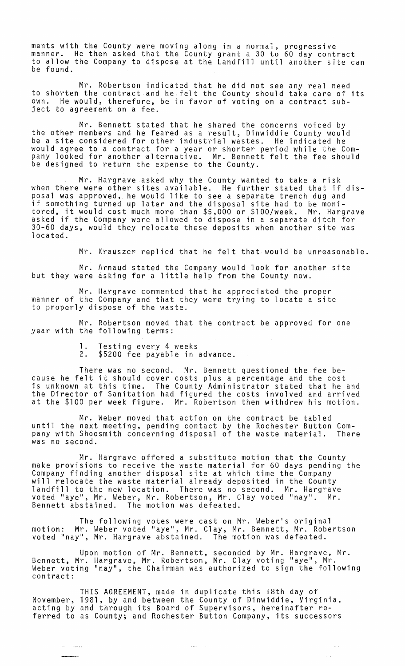ments with the County were moving along in a normal, progressive manner. He then asked that the County grant a 30 to 60 day contract to allow the Company to dispose at the Landfill until another site can be found.

Mr. Robertson indicated that he did not see any real need to shorten the contract and he felt the County should take care of its own. He would, therefore, be in favor of voting on a contract subject to agreement on a fee.

Mr. Bennett stated that he shared the concerns voiced by the other members and he feared as a result, Dinwiddie County would be a site considered for other industrial wastes. He indicated he would agree to a contract for a year or shorter period while the Company looked for another alternative. Mr. Bennett felt the fee should be designed to return the expense to the County.

Mr. Hargrave asked why the County wanted to take a risk when there were other sites available. He further stated that if disposal was approved, he would like to see a separate trench dug and if something turned up later and the disposal site had to be monitored, it would cost much more than \$5,000 or \$lOO/week. Mr. Hargrave asked if the Company were allowed to dispose in a separate ditch for 30-60 days, would they relocate these deposits when another site was located.

Mr. Krauszer replied that he felt that. would be unreasonable.

Mr. Arnaud stated the Company would look for another site but they were asking for a little help from the County now.

Mr. Hargrave commented that he appreciated the proper manner of the Company and that they were trying to locate a site to properly dispose of the waste.

Mr. Robertson moved that the contract be approved for one year with the following terms:

- 1. Testing every 4 weeks
- \$5200 fee payable in advance.

There was no second. Mr. Bennett questioned the fee because he felt it should cover costs plus a percentage and the cost is unknown at this time. The County Administrator stated that he and the Director of Sanitation had figured the costs involved and arrived at the \$100 per week figure. Mr. Robertson then withdrew his motion.

Mr. Weber moved that action on the contract be tabled until the next meeting, pending contact by the Rochester Button Company with Shoosmith concerning disposal of the waste material. There was no second.

Mr. Hargrave offered a substitute motion that the County make provisions to receive the waste material for 60 days pending the Company finding another disposal site at which time the Company will relocate the waste material already deposited in the County landfill to the new location. There was no second. Mr. Hargrave<br>voted "ave", Mr. Weber, Mr. Robertson, Mr. Clav voted "nav", Mr. voted "aye", Mr. Weber, Mr. Robertson, Mr. Clay voted "nay".<br>Bennett abstained. The motion was defeated. The motion was defeated.

The following votes were cast on Mr. Weber's original motion: Mr. Weber voted "aye", Mr. Clay, Mr. Bennett, Mr. Robertson voted "nay", Mr. Hargrave abstained. The motion was defeated.

Upon motion of Mr. Bennett, seconded by Mr. Hargrave, Mr. Bennett, Mr. Hargrave, Mr. Robertson, Mr. Clay voting "aye", Mr. Weber voting "nay", the Chairman was authorized to sign the following contract:

THIS AGREEMENT, made in duplicate this 18th day of November, 1981, by and between the County of Dinwiddie, Virginia, acting by and through its Board of Supervisors, hereinafter referred to as County; and Rochester Button Company, its successors

 $\langle \rangle_{\rm max}$ 

 $\sim$   $\sim$ i.

in Serge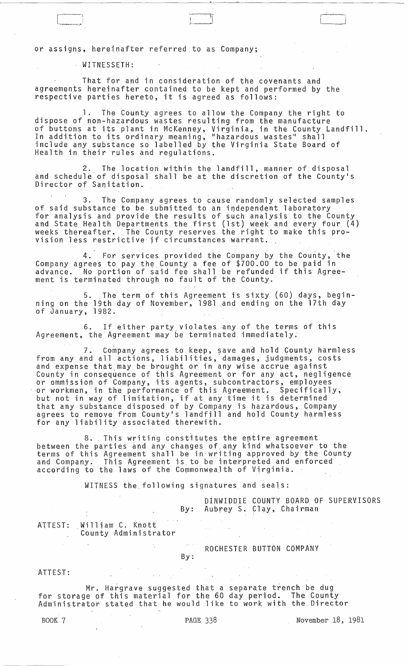or assigns, hereinafter referred to as Company;

, WITNESSETH:

That for and in consideration of the covenants and agreements hereinafter contained to be kept and performed by the respective parties hereto, it is agreed as follows:

1. The County agrees to allow the Company the right to dispose of non-hazardous wastes resulting from the manufacture of buttons at its plant in McKenney, Virginia, in the County Landfill. In addition to its ordinary meaning, "hazardous wastes" shall include any substance so labelled by the Virginia State goard of Health in their rules and regulations.

 $\sim$ "~\_~l

2. The location, within the landfill, manner of disposal and schedule of disposal shall be at the discretion of the County's Director of Sanitation.

3. The Company agrees to cause randomly selected samples of said substance to be submitted toan independent laboratory for analysis and provide the results of such analysis to the County and State Health Departments the first (1st) week and every four (4) weeks thereafter, The County reserves the right to make this provision less restrictive' if circumstances warrant.

4. For services provided the Company by the County, 'the Company agrees to pay the County a fee of  $$700.00$  to be paid in advance. No portion of said fee shall be refunded if this Agreement is terminated through no fault of the County.

5. The term of this Agreement is sixty (60) days, beginning on the 19th day of November, 1981 and ending on the 17th day of January, 1982.

6. If either party. violates any of the terms of this Agreement, the Agreement may be terminated immediately;

7. Company agrees to keep, save and hold County harmless from any and all actions, liabilities, damages, judgments, costs and expense that may be brought or in any wise accrue against County in consequence of tris Agreement or for any act, negligence or ommission of Company, its agents, subcontractors, employees or workmen, in the performance of this Agreement. Specifically, but not in way of limitation, if at any time it is determined that any sUbstance disposed of by Company is hazardous, company agrees to remove from County·s landfjll and hOld County harmless for any liability associated therewith.

8. This writing constitutes the entire agreement between the parties and any changes of any kind whatsoever to the terms of this Agreement shall be in'writing approved by the County and Company. This Agreement is.to be interpreted and enforced according to the laws of the Commonwealth of Virginia.

WITNESS the, following signatures and seals:

|         |                                                                                                                        |     | DINWIDDIE COUNTY BOARD OF SUPERVISORS<br>By: Aubrey S. Clay, Chairman |  |
|---------|------------------------------------------------------------------------------------------------------------------------|-----|-----------------------------------------------------------------------|--|
|         | ATTEST: William C. Knott<br>County Administrator                                                                       |     |                                                                       |  |
|         |                                                                                                                        | By: | ROCHESTER BUTTON COMPANY                                              |  |
| ATTEST: |                                                                                                                        |     |                                                                       |  |
|         | Mr. Hargrave suggested that a separate trench be dug<br>for storage of this material for the 60 day period. The County |     |                                                                       |  |

for storage of this material for the 60 day period. The County Administrator stated that he would like to work with the Director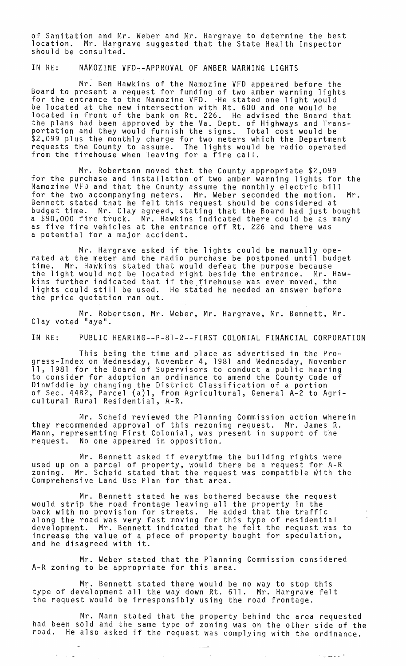of Sanitation and Mr. Weber and Mr. Hargrave to determine the best location. Mr. Hargrave suggested that the State Health Inspector<br>should be consulted.

IN RE: NAMOZINE VFD--APPROVAL OF AMBER WARNING LIGHTS

Mr. Ben Hawkins of the Namozine VFD appeared before the Board to present a request for funding of two amber warning lights for the entrance to the Namozine VFD. -He stated one light would be located at the new intersection with Rt. 600 and one would be located in front of the bank on Rt. 226. He advised the Board that the plans had been approved by the Va. Dept. of Highways and Transportation and they would furnish the signs. Total cost would be \$2,099 plus the monthly charge for two meters which the Department requests the County to assume. The lights would be radio operated from the firehouse when leaving for a fire call.

Mr. Robertson moved that the County appropriate \$2,099 for the purchase and installation of two amber warning lights for the Namozine VFD and that the County assume the monthly electric bill for the two accompanying meters. Mr. Weber seconded the motion. Mr. Bennett stated that he felt this request should be considered at budget time. Mr. Clay agreed, stating that the Board had just bought a \$90,000 fire truck. Mr. Hawkins indicated there could be as many as five fire vehicles at the entrance off Rt. 226 and there was a potential for a major accident.

Mr. Hargrave asked if the lights could be manually ope- rated at the meter and the radio purchase be postponed until budget time. Mr. Hawkins stated that would defeat the purpose because the light would not be located right beside the entrance. Mr. Hawkins further indicated that if the firehouse was ever moved, the lights could still be used. He stated he needed an answer before the price quotation ran out.

Mr. Robertson, Mr. Weber, Mr. Hargrave, Mr. Bennett, Mr. Clay voted "aye".

IN RE: PUBLIC HEARING--P-8l-2--FIRST COLONIAL FINANCIAL CORPORATION

This being the time and place as advertised in the Progress-Index on Wednesday, November 4, 1981 and Wednesday, November 11, 1981 for the Board of Supervisors to conduct a public hearing to consider for adoption an ordinance to amend the County Code of Dinwiddie by changing the District Classification of a portion of Sec. 44B2, Parcel {all, from Agricultural, General A-2 to Agricultural Rural Residential, A-R.

Mr. Scheid reviewed the Planning Commission action wherein they recommended approval of this rezoning request. Mr. James R. Mann, representing First Colonial, was present in support of the request. No one appeared in opposition.

Mr. Bennett asked if every time the building rights were used up on a parcel of property, would there be a request for A-R zoning. Mr. Scheid stated that the request was compatible with the Comprehensive Land Use Plan for that area.

Mr. Bennett stated he was bothered because the request would strip the road frontage leaving all the property in the back with no provision for streets. He added that the traffic along the road was very fast moving for this type of residential development. Mr. Bennett indicated that he felt the request was to increase the value of a piece of property bought for speculation, and he disagreed with it.

Mr. Weber stated that the Planning Commission considered A-R zoning to be appropriate for this area.

Mr. Bennett stated there would be no way to stop this type of development all the way down Rt. 611. Mr. Hargrave felt the request would be irresponsibly using the road frontage.

 $\Delta\phi = 1.001$ 

Mr. Mann stated that the property behind the area requested had been sold and the same type of zoning was on the other side of the road. He also asked if the request was complying with the ordinance.

فأبريت للبراء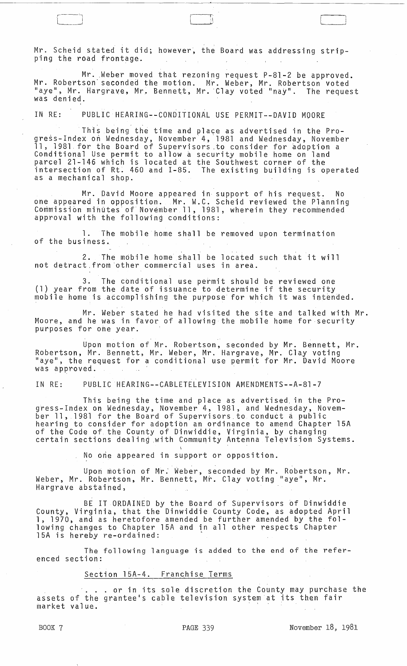Mr. Scheid stated it did; however, the Board was addressing stripping the road frontage.

Mr. Weber moved that rezoning request P-81-2 be approved. Mr. Robertson" seconded the motion. Mr. Weber, Mr. Robertson voted "aye", Mr. Hargrave, Mr. Bennett, Mr. Clay voted "nay". The request was denied.

. . IN RE: PUBLIC HEARING--CONDITIONAL USE PERMIT--DAVID MOORE

This being the time and place as advertised in the Progress-Index on Wednesday, November'4, '1981 and Wednesday, November 11, 1981. for the Board of Supervisors ,to consider for adoption a Conditional Use permit to allow a security mobile home on land parcel 21-146 which is located at the Southwest corner of the intersection of Rt. 460 and 1-85. The existing building is operated as a mechanical shop.

Mr. David Moore appeared in support of his request. No one appeared in opposition. Mr. W.C. Scheid reviewed the Planning Commission minutes of November 11, 1981, wherein they recommended approval with the following conditions:

1. The mobile home shall be removed upon termination of the business.

2. The mobile home shall be located such that it will not detract,from 'other commercial uses in area.

3. The conditional use permit should be reviewed one (1) year from the date of issuance to determine if the security mobile home is accomplishing the purpose for which it was intended.

Mr. Weber stated he had visited the site and talked with Mr. Moore, and he was in favor. of allowing the mobile home for security purposes for one year.

Upon motion of Mr. Robertson, seconded by Mr. Bennett, Mr.  $\blacksquare$ Robertson, Mr. Bennett, Mr. Weber, Mr. Hargrave, Mr. Clay voting "aye", the request for a conditional use permit for Mr. David Moore was approved. .

IN RE: PUBLIC HEARING--CABLETELEVISION AMENDMENTS--A-81-7

This being the time and place as advertised. in the Progress-Index on Wednesday, November 4, 1981, and Wednesday, November 11, 1981 for the Board of Supervisors to conduct a public hearing to consider for adoption an ordinance to amend Chapter 15A of the Code of the County of Dinwiddie, Virginia, by changing<br>certain sections dealing with Community Antenna Television Systems.

> \ No one appeared in support or opposition.

Upon motion of Mr. Weber, seconded by Mr. Robertson, Mr. Weber, Mr. Robertson, Mr. Bennett, Mr. Clay voting "aye", Mr. Hargrave abstained,

BE IT ORDAINED by the Board of Supervisors of Dinwiddie County, Virginia, that the Dinwiddie County Code, as adopted April 1, 1970, and as heretofore amended be further amended by the following changes to Chapter l5A and in all other respects Chapter 15A is hereby re-ordained:

The following language is added to the end of the referenced section:

Section 15A-4. Franchise Terms

. or in its sole discretion the County may purchase the assets of the grantee's cable television system at its then fair market value.

BOOK 7 **PAGE 339** November 18, 1981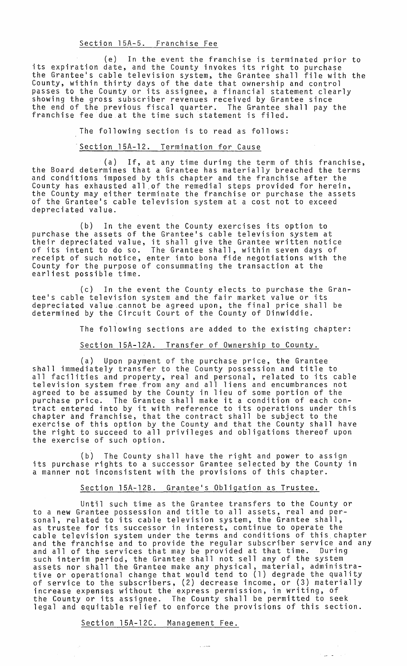## Section 15A-5. Franchise Fee

(e) In the event the franchise is terminated prior to its expiration date, and the County invokes its right to purchase the Grantee's cable television system, the Grantee shall file with the County, within thirty days of the date that ownership and control passes to the County or its assignee, a financial statement clearly showing the gross subscriber revenues received by Grantee since the end of the previous fiscal quarter. The Grantee shall pay the franchise fee due at the time such statement is filed.

The following section is to read as follows:

## Section 15A-12. Termination for Cause

(a) If, at any time during the term of this franchise, the Board determines that a Grantee has materially breached the terms and conditions imposed by this chapter and the franchise after the County has exhausted all of the remedial steps provided for herein, the County may either terminate the franchise or purchase the assets of the Grantee's cable television system at a cost not to exceed depreciated value.

(b) In the event the County exercises its option to purchase the assets of the Grantee's cable television system at their depreciated value, it shall give the Grantee written notice of its intent to do so. The Grantee shall, within seven days of receipt of such notice, enter int9 bona fide negotiations with the County for the purpose of consummating the transaction at the earliest possible time.

(c) In the event the County elects to purchase the Grantee's cable television system and the fair market value or its depreciated value ,cannot be agreed upon, the final price shall be determined by the Circuit Court of the County of Dinwiddie.

The following sections are added to the existing chapter:

# Section 15A-12A. Transfer of Ownership to County.

(a) Upon payment of the purchase price, the Grantee shall immediately transfer to the County possession and title to all facilities and property, real and personal, related to its cable television system free from any and all liens and encumbrances not agreed to be assumed by the County in lieu of some portion of the agreed to be assumed by the county in fied of some portion of the<br>purchase price. The Grantee shall make it a condition of each conpurchase price. The drantee sharp make it a condition of each con-<br>tract entered into by it with reference to its operations under this chapter and franchise, that the contract shall be subject to the exercise of this option by the County and that the County shall have the right to succeed to all privileges and obligations thereof upon the exercise of such option.

(b) The County shall have the right and power to assign its purchase rights to a successor Grantee selected by the County in a manner not inconsistent with the provisions of this chapter.

## Section 15A-12B. Grantee's Obligation as Trustee.

Until such time as the Grantee transfers to the County or to a new Grantee possession and title to all assets, real and personal, related to its cable television system, the Grantee shall, as trustee for its successor in interest, continue to operate the cable television system under the terms and conditions of this chapter<br>and the franchise and to provide the regular subscriber service and any and all of the services that may be provided at that time. During such interim period, the Grantee shall not sell any of the system assets nor shall the Grantee make any physical, material, administrative or operational change that would tend to (1) degrade the quality of service to the subscribers, (2) decrease income, or (3) materially increase expenses without the express permission, in writing, of the County or its assignee. The County shall be permitted to seek legal and equitable relief to enforce the provisions of this section.

الأربيل الأ

Section 15A-12C. Management Fee.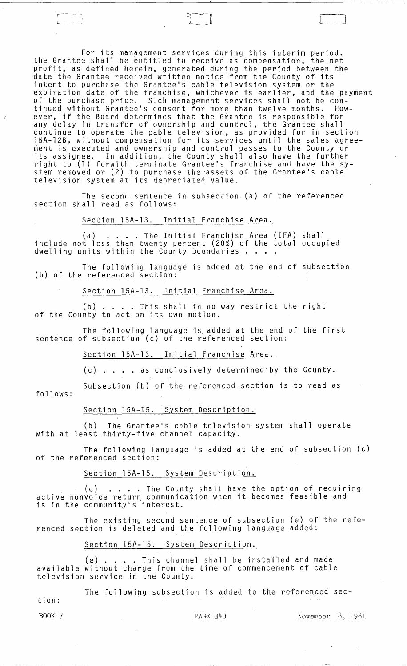For its management services during this interim period, the Grantee shall be entitled to receive as compensation, the net profit, as defined herein, generated during the period between the date the Grantee received written notice from the County of its intent to purchase the Grantee's cable television system or the expiration date of the franchise, whichever is earlier, and the payment of the purchase price. Such management services shall not be continued without Grantee's consent for more than twelve months. However, if the Board determines that the Grantee is responsible for any delay in transfer of ownership and control, the Grantee shall continue to operate the cable television, as provided for in section 15A-12B, without compensation for its services until the sales agreement is executed and ownership and control passes to the County or its assignee. In addition, the County shall also have the further right to (1) forwith terminate Grantee's franchise and have the system removed or (2) to purchase the assets of the Grantee's cable television system at its depreciated value.

The second sentence in subsection (a) of the referenced section shall read as follows:

Section l5A-13. Initial Franchise Area.

Section 15A-13. Initial Franchise Area.<br>
(a) ....The Initial Franchise Area (IFA) shall<br>
include not less than twenty percent (20%) of the total occupied<br>
dwelling units within the County boundaries ....

The following language is added at the end of subsection (b) of the referenced section:

Section l5A-13. Initial Franchise Area.

(b) .... This shall in no way restrict the right of the County to act on its own motion.

The following language is added at the end of the first sentence of sUbsection (c) of the referenced section:

Section l5A-13. Initial Franchise Area.

(c) .... as conclusively determined by the County.

follows: Subsection (b) of the referenced section is to read as

Section l5A-15. System Description.

(b) The Grantee's cable television system shall operate with at least thirty-five channel capacity.

The following language is added at the end of subsection (c) of the referenced section:

Section l5A-15. System Description.

Section 15A-15. System Description.<br>(c) ....The County shall have the option of requiring (c) ....The County shall have the option of requiring ... is in the community's interest.

The existing second sentence of subsection (e) of the referenced section is deleted and the following language added:

Section l5A-15. System Description.

(e) .... This channel shall be installed and made available without charge from the time of commencement of cable television service in the County.

The following subsection is added to the referenced sec-

tion:

BOOK 7 PAGE 340 November 18, 1981

 $\Box$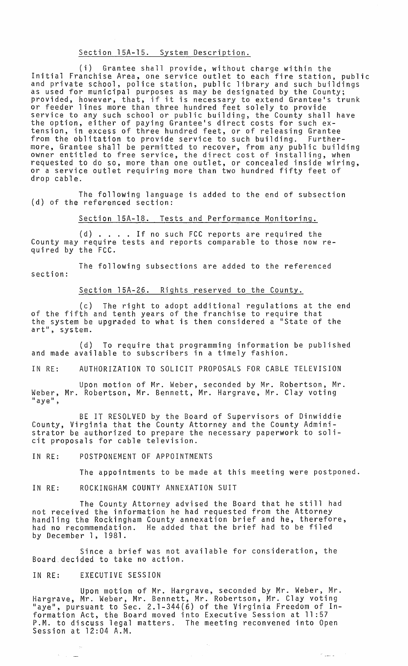### Section l5A-15. System Description.

(i) Grantee shall provide, without charge within the Initial Franchise Area, one service outlet to each fire station, public<br>and private school, police station, public library and such buildings as used for municipal purposes as may be designated by the County;<br>provided, however, that, if it is necessary to extend Grantee's trunk or feeder lines more than three hundred feet solely to provide<br>service to any such school or public building, the County shall have the option, either of paying Grantee's direct costs for such extension, in excess of three hundred feet, or of releasing Grantee from the oblitation to provide service to such building. Furthermore, Grantee shall be permitted to recover, from any public building owner entitled to free service, the direct cost of installing, when requested to do so, more than one outlet, or concealed inside wiring, or a service outlet requiring more than two hundred fifty feet of drop cable.

The following language is added to the end of subsection (d) of the referenced section:

Section l5A-18. Tests and Performance Monitoring.

(d) .... If no such FCC reports are required the County may require tests and reports comparable to those now required by the FCC.

The following subsections are added to the referenced section:

Section l5A-26. Rights reserved to the County.

(c) The right to adopt additional regulations at the end of the fifth and tenth years of the franchise to require that the system be upgraded to what is then considered a "State of the art", system.

(d) To require that programming information be published and made available to subscribers in a timely fashion.

IN RE: AUTHORIZATION TO SOLICIT PROPOSALS FOR CABLE TELEVISION

Upon motion of Mr. Weber, seconded by Mr. Robertson, Mr. Weber, Mr. Robertson, Mr. Bennett, Mr. Hargrave, Mr. Clay voting "aye",

BE IT RESOLVED by the Board of Supervisors of Dinwiddie County, Virginia that the County Attorney and the County Administrator be authorized to prepare the necessary paperwork to solicit proposals for cable television.

IN RE: POSTPONEMENT OF APPOINTMENTS

The appointments to be made at this meeting were postponed.

#### IN RE: ROCKINGHAM COUNTY ANNEXATION SUIT

The County Attorney advised the Board that he still had<br>not received the information he had requested from the Attorney not received the information he had requested from the Attorney<br>handling the Rockingham County annexation brief and he, therefore, had no recommendation. He added that the brief had to be filed by December 1, 1981.

Since a brief was not available for consideration, the Board.decided to take no action. .

## IN RE: EXECUTIVE SESSION

 $\mathbf{u} = \mathbf{u}$ 

Upon motion of Mr. Hargrave, seconded by Mr. Weber, Mr. Hargrave, Mr. Weber, Mr. Bennett, Mr. Robertson, Mr. Clay voting "aye", pursuant to Sec. 2.1-344(6) of the Virginia Freedom of Information Act, the Board moved into Executive Session at **11** :57 P.M. to discuss legal matters. The meeting reconvened into Open Session at 12:04 A.M.

 $\sim$ 

 $\sigma_{\rm{max}}$  .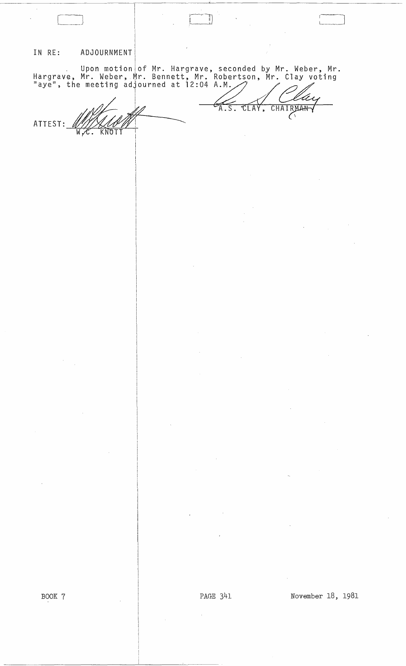#### IN RE: I ADJOURNMENT!

Upon motion of Mr. Hargrave, seconded by Mr. Weber, Mr. Hargrave, Mr. Weber, Mr. Bennett, Mr. Robertson, Mr. Clay voting laye", the meeting adjourned at 12:04 A.M. . In and the meeting adjourned at 12:04 A.M. . In and the meeting adjourned at 12:04 A.M. . In any same of the me

 $\overline{A.S.}$ 

TLAY  $\overline{\phantom{a}}$  CHAIRMAN

 $\mathbb Z_-$ ATTEST: WHALLOW

I I